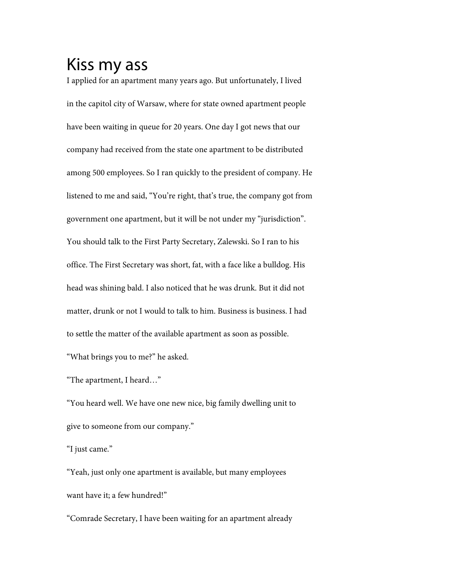## Kiss my ass

I applied for an apartment many years ago. But unfortunately, I lived in the capitol city of Warsaw, where for state owned apartment people have been waiting in queue for 20 years. One day I got news that our company had received from the state one apartment to be distributed among 500 employees. So I ran quickly to the president of company. He listened to me and said, ''You're right, that's true, the company got from government one apartment, but it will be not under my ''jurisdiction''. You should talk to the First Party Secretary, Zalewski. So I ran to his office. The First Secretary was short, fat, with a face like a bulldog. His head was shining bald. I also noticed that he was drunk. But it did not matter, drunk or not I would to talk to him. Business is business. I had to settle the matter of the available apartment as soon as possible.

"What brings you to me?" he asked.

''The apartment, I heard…''

''You heard well. We have one new nice, big family dwelling unit to give to someone from our company.''

''I just came.''

''Yeah, just only one apartment is available, but many employees want have it; a few hundred!''

''Comrade Secretary, I have been waiting for an apartment already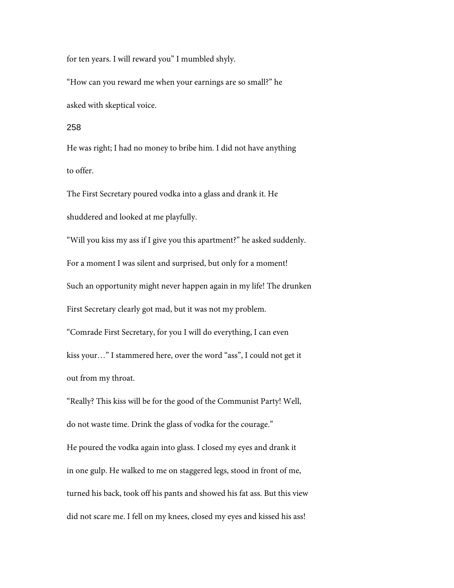for ten years. I will reward you'' I mumbled shyly.

''How can you reward me when your earnings are so small?'' he asked with skeptical voice.

258

He was right; I had no money to bribe him. I did not have anything to offer.

The First Secretary poured vodka into a glass and drank it. He shuddered and looked at me playfully.

"Will you kiss my ass if I give you this apartment?" he asked suddenly. For a moment I was silent and surprised, but only for a moment! Such an opportunity might never happen again in my life! The drunken First Secretary clearly got mad, but it was not my problem.

''Comrade First Secretary, for you I will do everything, I can even kiss your..." I stammered here, over the word "ass", I could not get it out from my throat.

"Really? This kiss will be for the good of the Communist Party! Well, do not waste time. Drink the glass of vodka for the courage.'' He poured the vodka again into glass. I closed my eyes and drank it in one gulp. He walked to me on staggered legs, stood in front of me, turned his back, took off his pants and showed his fat ass. But this view did not scare me. I fell on my knees, closed my eyes and kissed his ass!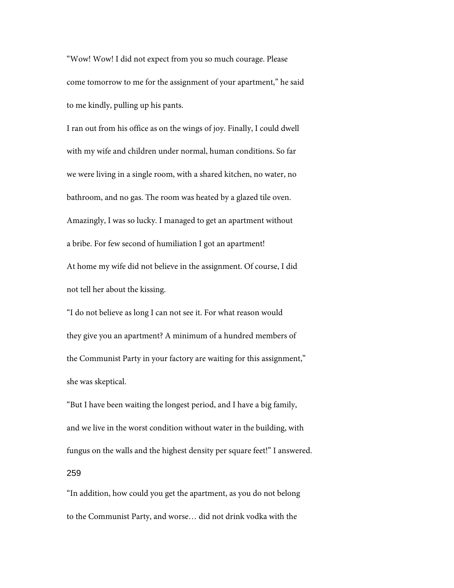''Wow! Wow! I did not expect from you so much courage. Please come tomorrow to me for the assignment of your apartment,'' he said to me kindly, pulling up his pants.

I ran out from his office as on the wings of joy. Finally, I could dwell with my wife and children under normal, human conditions. So far we were living in a single room, with a shared kitchen, no water, no bathroom, and no gas. The room was heated by a glazed tile oven. Amazingly, I was so lucky. I managed to get an apartment without a bribe. For few second of humiliation I got an apartment! At home my wife did not believe in the assignment. Of course, I did not tell her about the kissing.

''I do not believe as long I can not see it. For what reason would they give you an apartment? A minimum of a hundred members of the Communist Party in your factory are waiting for this assignment,'' she was skeptical.

''But I have been waiting the longest period, and I have a big family, and we live in the worst condition without water in the building, with fungus on the walls and the highest density per square feet!'' I answered.

## 259

''In addition, how could you get the apartment, as you do not belong to the Communist Party, and worse… did not drink vodka with the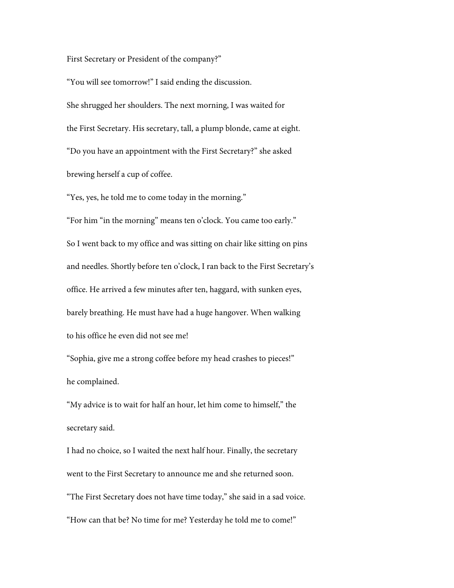First Secretary or President of the company?''

''You will see tomorrow!'' I said ending the discussion. She shrugged her shoulders. The next morning, I was waited for the First Secretary. His secretary, tall, a plump blonde, came at eight. ''Do you have an appointment with the First Secretary?'' she asked brewing herself a cup of coffee.

''Yes, yes, he told me to come today in the morning.''

''For him ''in the morning'' means ten o'clock. You came too early.'' So I went back to my office and was sitting on chair like sitting on pins and needles. Shortly before ten o'clock, I ran back to the First Secretary's office. He arrived a few minutes after ten, haggard, with sunken eyes, barely breathing. He must have had a huge hangover. When walking to his office he even did not see me!

''Sophia, give me a strong coffee before my head crashes to pieces!'' he complained.

"My advice is to wait for half an hour, let him come to himself," the secretary said.

I had no choice, so I waited the next half hour. Finally, the secretary went to the First Secretary to announce me and she returned soon. "The First Secretary does not have time today," she said in a sad voice. ''How can that be? No time for me? Yesterday he told me to come!''